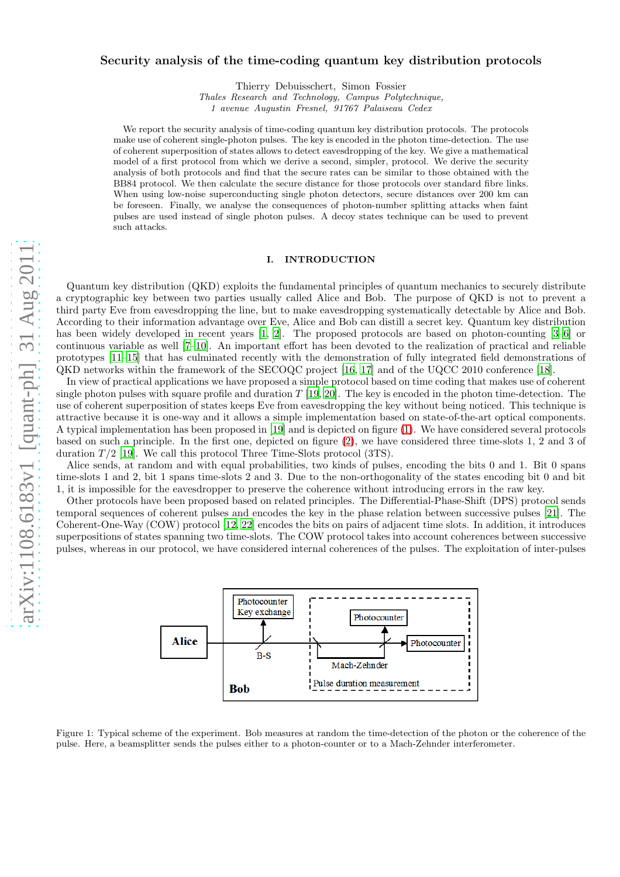# Security analysis of the time-coding quantum key distribution protocols

Thierry Debuisschert, Simon Fossier

*Thales Research and Technology, Campus Polytechnique,*

*1 avenue Augustin Fresnel, 91767 Palaiseau Cedex*

We report the security analysis of time-coding quantum key distribution protocols. The protocols make use of coherent single-photon pulses. The key is encoded in the photon time-detection. The use of coherent superposition of states allows to detect eavesdropping of the key. We give a mathematical model of a first protocol from which we derive a second, simpler, protocol. We derive the security analysis of both protocols and find that the secure rates can be similar to those obtained with the BB84 protocol. We then calculate the secure distance for those protocols over standard fibre links. When using low-noise superconducting single photon detectors, secure distances over 200 km can be foreseen. Finally, we analyse the consequences of photon-number splitting attacks when faint pulses are used instead of single photon pulses. A decoy states technique can be used to prevent such attacks.

### I. INTRODUCTION

Quantum key distribution (QKD) exploits the fundamental principles of quantum mechanics to securely distribute a cryptographic key between two parties usually called Alice and Bob. The purpose of QKD is not to prevent a third party Eve from eavesdropping the line, but to make eavesdropping systematically detectable by Alice and Bob. According to their information advantage over Eve, Alice and Bob can distill a secret key. Quantum key distribution has been widely developed in recent years [\[1,](#page-13-0) [2\]](#page-13-1). The proposed protocols are based on photon-counting [\[3](#page-13-2)[–6\]](#page-13-3) or continuous variable as well [\[7](#page-13-4)[–10\]](#page-13-5). An important effort has been devoted to the realization of practical and reliable prototypes [\[11](#page-13-6)[–15\]](#page-13-7) that has culminated recently with the demonstration of fully integrated field demonstrations of QKD networks within the framework of the SECOQC project [\[16](#page-13-8), [17\]](#page-13-9) and of the UQCC 2010 conference [\[18\]](#page-13-10).

In view of practical applications we have proposed a simple protocol based on time coding that makes use of coherent single photon pulses with square profile and duration  $T$  [\[19,](#page-13-11) [20](#page-14-0)]. The key is encoded in the photon time-detection. The use of coherent superposition of states keeps Eve from eavesdropping the key without being noticed. This technique is attractive because it is one-way and it allows a simple implementation based on state-of-the-art optical components. A typical implementation has been proposed in [\[19\]](#page-13-11) and is depicted on figure [\(1\)](#page-0-0). We have considered several protocols based on such a principle. In the first one, depicted on figure [\(2\)](#page-1-0), we have considered three time-slots 1, 2 and 3 of duration  $T/2$  [\[19](#page-13-11)]. We call this protocol Three Time-Slots protocol (3TS).

Alice sends, at random and with equal probabilities, two kinds of pulses, encoding the bits 0 and 1. Bit 0 spans time-slots 1 and 2, bit 1 spans time-slots 2 and 3. Due to the non-orthogonality of the states encoding bit 0 and bit 1, it is impossible for the eavesdropper to preserve the coherence without introducing errors in the raw key.

Other protocols have been proposed based on related principles. The Differential-Phase-Shift (DPS) protocol sends temporal sequences of coherent pulses and encodes the key in the phase relation between successive pulses [\[21\]](#page-14-1). The Coherent-One-Way (COW) protocol [\[12,](#page-13-12) [22\]](#page-14-2) encodes the bits on pairs of adjacent time slots. In addition, it introduces superpositions of states spanning two time-slots. The COW protocol takes into account coherences between successive pulses, whereas in our protocol, we have considered internal coherences of the pulses. The exploitation of inter-pulses



<span id="page-0-0"></span>Figure 1: Typical scheme of the experiment. Bob measures at random the time-detection of the photon or the coherence of the pulse. Here, a beamsplitter sends the pulses either to a photon-counter or to a Mach-Zehnder interferometer.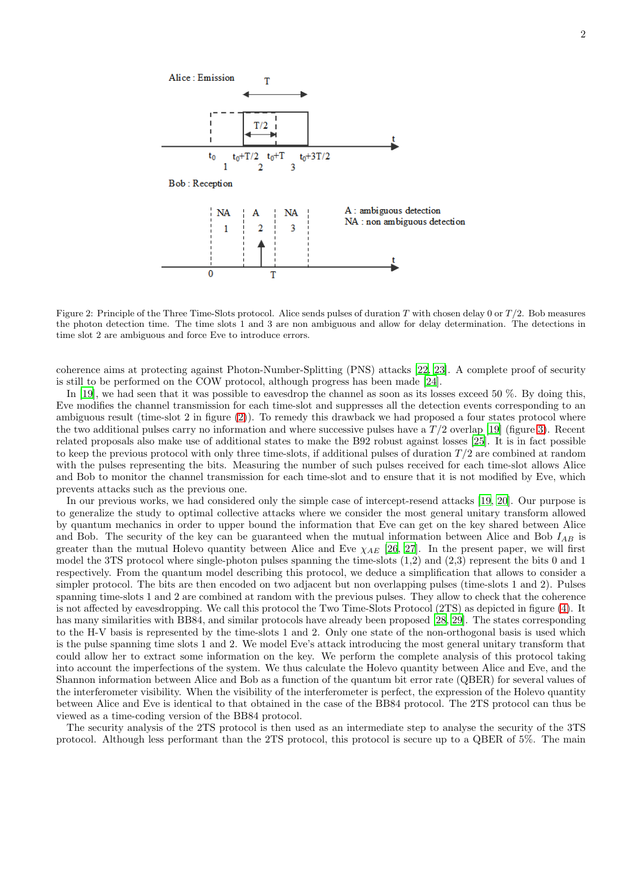

<span id="page-1-0"></span>Figure 2: Principle of the Three Time-Slots protocol. Alice sends pulses of duration T with chosen delay 0 or  $T/2$ . Bob measures the photon detection time. The time slots 1 and 3 are non ambiguous and allow for delay determination. The detections in time slot 2 are ambiguous and force Eve to introduce errors.

coherence aims at protecting against Photon-Number-Splitting (PNS) attacks [\[22,](#page-14-2) [23\]](#page-14-3). A complete proof of security is still to be performed on the COW protocol, although progress has been made [\[24\]](#page-14-4).

In [\[19](#page-13-11)], we had seen that it was possible to eavesdrop the channel as soon as its losses exceed 50 %. By doing this, Eve modifies the channel transmission for each time-slot and suppresses all the detection events corresponding to an ambiguous result (time-slot 2 in figure [\(2\)](#page-1-0)). To remedy this drawback we had proposed a four states protocol where the two additional pulses carry no information and where successive pulses have a  $T/2$  overlap [\[19](#page-13-11)] (figure [3\)](#page-2-0). Recent related proposals also make use of additional states to make the B92 robust against losses [\[25\]](#page-14-5). It is in fact possible to keep the previous protocol with only three time-slots, if additional pulses of duration  $T/2$  are combined at random with the pulses representing the bits. Measuring the number of such pulses received for each time-slot allows Alice and Bob to monitor the channel transmission for each time-slot and to ensure that it is not modified by Eve, which prevents attacks such as the previous one.

In our previous works, we had considered only the simple case of intercept-resend attacks [\[19](#page-13-11), [20](#page-14-0)]. Our purpose is to generalize the study to optimal collective attacks where we consider the most general unitary transform allowed by quantum mechanics in order to upper bound the information that Eve can get on the key shared between Alice and Bob. The security of the key can be guaranteed when the mutual information between Alice and Bob  $I_{AB}$  is greater than the mutual Holevo quantity between Alice and Eve  $\chi_{AE}$  [\[26,](#page-14-6) [27\]](#page-14-7). In the present paper, we will first model the 3TS protocol where single-photon pulses spanning the time-slots  $(1,2)$  and  $(2,3)$  represent the bits 0 and 1 respectively. From the quantum model describing this protocol, we deduce a simplification that allows to consider a simpler protocol. The bits are then encoded on two adjacent but non overlapping pulses (time-slots 1 and 2). Pulses spanning time-slots 1 and 2 are combined at random with the previous pulses. They allow to check that the coherence is not affected by eavesdropping. We call this protocol the Two Time-Slots Protocol (2TS) as depicted in figure [\(4\)](#page-2-1). It has many similarities with BB84, and similar protocols have already been proposed [\[28](#page-14-8), [29\]](#page-14-9). The states corresponding to the H-V basis is represented by the time-slots 1 and 2. Only one state of the non-orthogonal basis is used which is the pulse spanning time slots 1 and 2. We model Eve's attack introducing the most general unitary transform that could allow her to extract some information on the key. We perform the complete analysis of this protocol taking into account the imperfections of the system. We thus calculate the Holevo quantity between Alice and Eve, and the Shannon information between Alice and Bob as a function of the quantum bit error rate (QBER) for several values of the interferometer visibility. When the visibility of the interferometer is perfect, the expression of the Holevo quantity between Alice and Eve is identical to that obtained in the case of the BB84 protocol. The 2TS protocol can thus be viewed as a time-coding version of the BB84 protocol.

The security analysis of the 2TS protocol is then used as an intermediate step to analyse the security of the 3TS protocol. Although less performant than the 2TS protocol, this protocol is secure up to a QBER of 5%. The main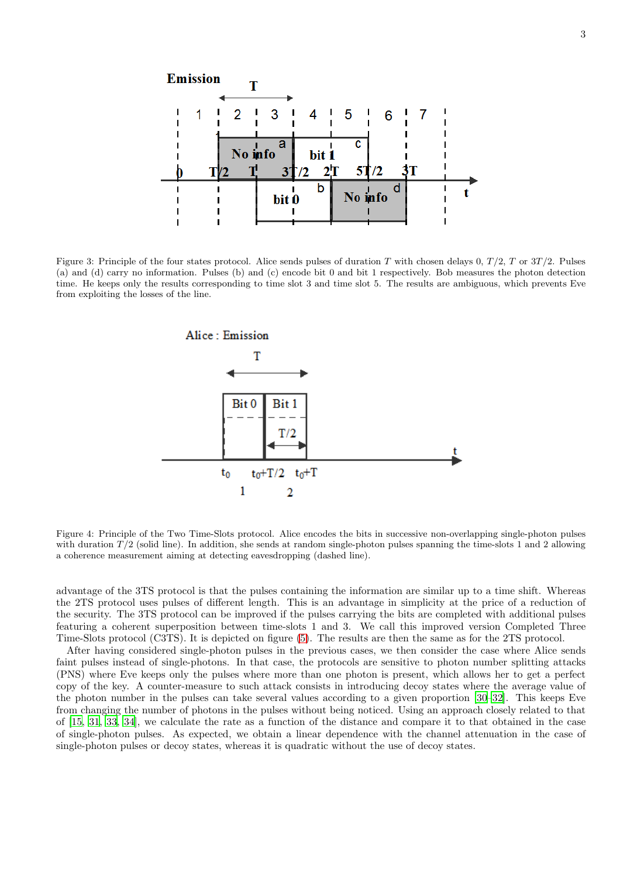

<span id="page-2-0"></span>Figure 3: Principle of the four states protocol. Alice sends pulses of duration T with chosen delays 0,  $T/2$ , T or  $3T/2$ . Pulses (a) and (d) carry no information. Pulses (b) and (c) encode bit 0 and bit 1 respectively. Bob measures the photon detection time. He keeps only the results corresponding to time slot 3 and time slot 5. The results are ambiguous, which prevents Eve from exploiting the losses of the line.



<span id="page-2-1"></span>Figure 4: Principle of the Two Time-Slots protocol. Alice encodes the bits in successive non-overlapping single-photon pulses with duration  $T/2$  (solid line). In addition, she sends at random single-photon pulses spanning the time-slots 1 and 2 allowing a coherence measurement aiming at detecting eavesdropping (dashed line).

advantage of the 3TS protocol is that the pulses containing the information are similar up to a time shift. Whereas the 2TS protocol uses pulses of different length. This is an advantage in simplicity at the price of a reduction of the security. The 3TS protocol can be improved if the pulses carrying the bits are completed with additional pulses featuring a coherent superposition between time-slots 1 and 3. We call this improved version Completed Three Time-Slots protocol (C3TS). It is depicted on figure [\(5\)](#page-3-0). The results are then the same as for the 2TS protocol.

After having considered single-photon pulses in the previous cases, we then consider the case where Alice sends faint pulses instead of single-photons. In that case, the protocols are sensitive to photon number splitting attacks (PNS) where Eve keeps only the pulses where more than one photon is present, which allows her to get a perfect copy of the key. A counter-measure to such attack consists in introducing decoy states where the average value of the photon number in the pulses can take several values according to a given proportion [\[30](#page-14-10)[–32\]](#page-14-11). This keeps Eve from changing the number of photons in the pulses without being noticed. Using an approach closely related to that of [\[15,](#page-13-7) [31,](#page-14-12) [33](#page-14-13), [34\]](#page-14-14), we calculate the rate as a function of the distance and compare it to that obtained in the case of single-photon pulses. As expected, we obtain a linear dependence with the channel attenuation in the case of single-photon pulses or decoy states, whereas it is quadratic without the use of decoy states.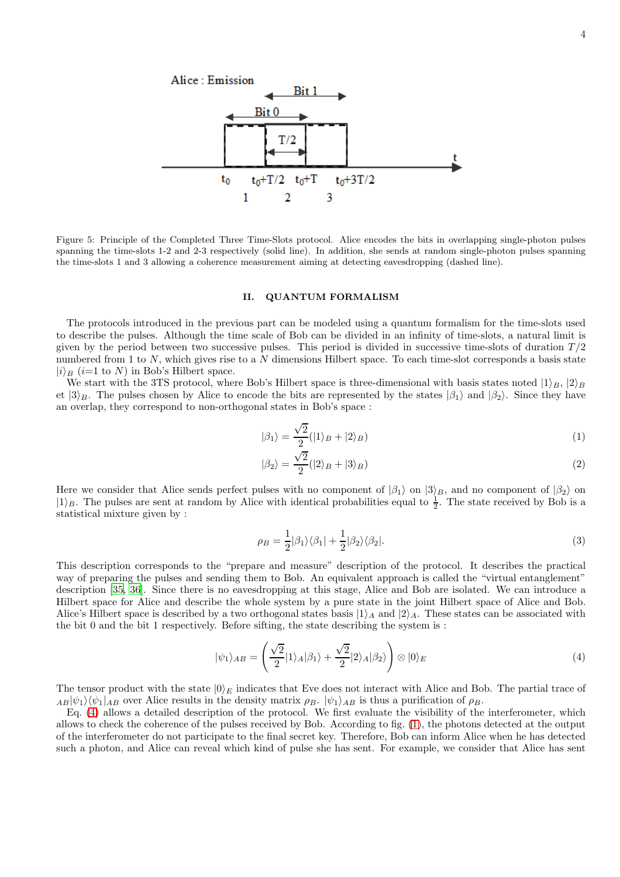

<span id="page-3-0"></span>Figure 5: Principle of the Completed Three Time-Slots protocol. Alice encodes the bits in overlapping single-photon pulses spanning the time-slots 1-2 and 2-3 respectively (solid line). In addition, she sends at random single-photon pulses spanning the time-slots 1 and 3 allowing a coherence measurement aiming at detecting eavesdropping (dashed line).

#### <span id="page-3-2"></span>II. QUANTUM FORMALISM

The protocols introduced in the previous part can be modeled using a quantum formalism for the time-slots used to describe the pulses. Although the time scale of Bob can be divided in an infinity of time-slots, a natural limit is given by the period between two successive pulses. This period is divided in successive time-slots of duration  $T/2$ numbered from 1 to  $N$ , which gives rise to a  $N$  dimensions Hilbert space. To each time-slot corresponds a basis state  $|i\rangle_B$  (i=1 to N) in Bob's Hilbert space.

We start with the 3TS protocol, where Bob's Hilbert space is three-dimensional with basis states noted  $|1\rangle_B$ ,  $|2\rangle_B$ et  $|3\rangle_B$ . The pulses chosen by Alice to encode the bits are represented by the states  $|\beta_1\rangle$  and  $|\beta_2\rangle$ . Since they have an overlap, they correspond to non-orthogonal states in Bob's space :

$$
|\beta_1\rangle = \frac{\sqrt{2}}{2} (|1\rangle_B + |2\rangle_B)
$$
 (1)

$$
|\beta_2\rangle = \frac{\sqrt{2}}{2} (|2\rangle_B + |3\rangle_B)
$$
 (2)

Here we consider that Alice sends perfect pulses with no component of  $|\beta_1\rangle$  on  $|3\rangle_B$ , and no component of  $|\beta_2\rangle$  on  $|1\rangle_B$ . The pulses are sent at random by Alice with identical probabilities equal to  $\frac{1}{2}$ . The state received by Bob is a statistical mixture given by :

$$
\rho_B = \frac{1}{2} |\beta_1\rangle\langle\beta_1| + \frac{1}{2} |\beta_2\rangle\langle\beta_2|.
$$
\n(3)

This description corresponds to the "prepare and measure" description of the protocol. It describes the practical way of preparing the pulses and sending them to Bob. An equivalent approach is called the "virtual entanglement" description [\[35](#page-14-15), [36\]](#page-14-16). Since there is no eavesdropping at this stage, Alice and Bob are isolated. We can introduce a Hilbert space for Alice and describe the whole system by a pure state in the joint Hilbert space of Alice and Bob. Alice's Hilbert space is described by a two orthogonal states basis  $|1\rangle_A$  and  $|2\rangle_A$ . These states can be associated with the bit 0 and the bit 1 respectively. Before sifting, the state describing the system is :

<span id="page-3-1"></span>
$$
|\psi_1\rangle_{AB} = \left(\frac{\sqrt{2}}{2}|1\rangle_A|\beta_1\rangle + \frac{\sqrt{2}}{2}|2\rangle_A|\beta_2\rangle\right) \otimes |0\rangle_E
$$
\n(4)

The tensor product with the state  $|0\rangle_E$  indicates that Eve does not interact with Alice and Bob. The partial trace of  $AB|\psi_1\rangle\langle\psi_1|_{AB}$  over Alice results in the density matrix  $\rho_B$ .  $|\psi_1\rangle_{AB}$  is thus a purification of  $\rho_B$ .

Eq. [\(4\)](#page-3-1) allows a detailed description of the protocol. We first evaluate the visibility of the interferometer, which allows to check the coherence of the pulses received by Bob. According to fig. [\(1\)](#page-0-0), the photons detected at the output of the interferometer do not participate to the final secret key. Therefore, Bob can inform Alice when he has detected such a photon, and Alice can reveal which kind of pulse she has sent. For example, we consider that Alice has sent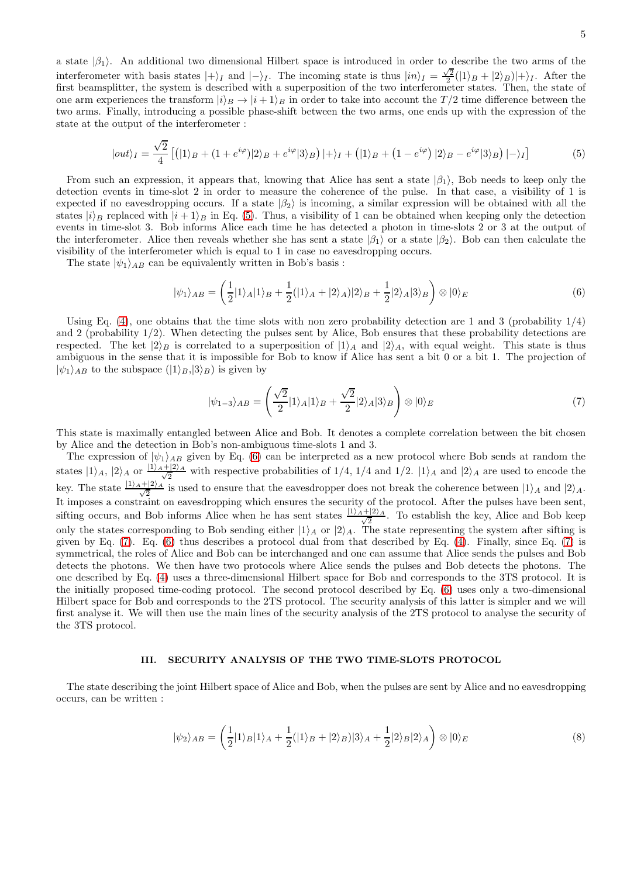a state  $|\beta_1\rangle$ . An additional two dimensional Hilbert space is introduced in order to describe the two arms of the interferometer with basis states  $|+\rangle_I$  and  $|-\rangle_I$ . The incoming state is thus  $|in\rangle_I = \frac{\sqrt{2}}{2}(|1\rangle_B + |2\rangle_B)|+\rangle_I$ . After the first beamsplitter, the system is described with a superposition of the two interferometer states. Then, the state of one arm experiences the transform  $|i\rangle_B \rightarrow |i+1\rangle_B$  in order to take into account the  $T/2$  time difference between the two arms. Finally, introducing a possible phase-shift between the two arms, one ends up with the expression of the state at the output of the interferometer :

<span id="page-4-0"></span>
$$
|out\rangle_I = \frac{\sqrt{2}}{4} \left[ (|1\rangle_B + (1 + e^{i\varphi})|^2_B \right] + e^{i\varphi} |3\rangle_B) |+ \rangle_I + (|1\rangle_B + (1 - e^{i\varphi})|^2_B - e^{i\varphi} |3\rangle_B) |-\rangle_I \right]
$$
(5)

From such an expression, it appears that, knowing that Alice has sent a state  $|\beta_1\rangle$ , Bob needs to keep only the detection events in time-slot 2 in order to measure the coherence of the pulse. In that case, a visibility of 1 is expected if no eavesdropping occurs. If a state  $|\beta_2\rangle$  is incoming, a similar expression will be obtained with all the states  $|i\rangle_B$  replaced with  $|i + 1\rangle_B$  in Eq. [\(5\)](#page-4-0). Thus, a visibility of 1 can be obtained when keeping only the detection events in time-slot 3. Bob informs Alice each time he has detected a photon in time-slots 2 or 3 at the output of the interferometer. Alice then reveals whether she has sent a state  $|\beta_1\rangle$  or a state  $|\beta_2\rangle$ . Bob can then calculate the visibility of the interferometer which is equal to 1 in case no eavesdropping occurs.

The state  $|\psi_1\rangle_{AB}$  can be equivalently written in Bob's basis :

<span id="page-4-1"></span>
$$
|\psi_1\rangle_{AB} = \left(\frac{1}{2}|1\rangle_A|1\rangle_B + \frac{1}{2}(|1\rangle_A + |2\rangle_A)|2\rangle_B + \frac{1}{2}|2\rangle_A|3\rangle_B\right) \otimes |0\rangle_E
$$
\n
$$
(6)
$$

Using Eq. [\(4\)](#page-3-1), one obtains that the time slots with non zero probability detection are 1 and 3 (probability  $1/4$ ) and 2 (probability  $1/2$ ). When detecting the pulses sent by Alice, Bob ensures that these probability detections are respected. The ket  $|2\rangle_B$  is correlated to a superposition of  $|1\rangle_A$  and  $|2\rangle_A$ , with equal weight. This state is thus ambiguous in the sense that it is impossible for Bob to know if Alice has sent a bit 0 or a bit 1. The projection of  $|\psi_1\rangle_{AB}$  to the subspace  $(|1\rangle_B,|3\rangle_B)$  is given by

<span id="page-4-2"></span>
$$
|\psi_{1-3}\rangle_{AB} = \left(\frac{\sqrt{2}}{2}|1\rangle_A|1\rangle_B + \frac{\sqrt{2}}{2}|2\rangle_A|3\rangle_B\right) \otimes |0\rangle_E \tag{7}
$$

This state is maximally entangled between Alice and Bob. It denotes a complete correlation between the bit chosen by Alice and the detection in Bob's non-ambiguous time-slots 1 and 3.

The expression of  $|\psi_1\rangle_{AB}$  given by Eq. [\(6\)](#page-4-1) can be interpreted as a new protocol where Bob sends at random the states  $|1\rangle_A$ ,  $|2\rangle_A$  or  $\frac{|1\rangle_A+|2\rangle_A}{\sqrt{2}}$  with respective probabilities of  $1/4$ ,  $1/4$  and  $|1/2$ .  $|1\rangle_A$  and  $|2\rangle_A$  are used to encode the key. The state  $\frac{|1\rangle_A+|2\rangle_A}{\sqrt{2}}$  is used to ensure that the eavesdropper does not break the coherence between  $|1\rangle_A$  and  $|2\rangle_A$ . It imposes a constraint on eavesdropping which ensures the security of the protocol. After the pulses have been sent, sifting occurs, and Bob informs Alice when he has sent states  $\frac{|1\rangle_A+|2\rangle_A}{\sqrt{2}}$ . To establish the key, Alice and Bob keep only the states corresponding to Bob sending either  $|1\rangle_A$  or  $|2\rangle_A$ . The state representing the system after sifting is given by Eq. [\(7\)](#page-4-2). Eq. [\(6\)](#page-4-1) thus describes a protocol dual from that described by Eq. [\(4\)](#page-3-1). Finally, since Eq. [\(7\)](#page-4-2) is symmetrical, the roles of Alice and Bob can be interchanged and one can assume that Alice sends the pulses and Bob detects the photons. We then have two protocols where Alice sends the pulses and Bob detects the photons. The one described by Eq. [\(4\)](#page-3-1) uses a three-dimensional Hilbert space for Bob and corresponds to the 3TS protocol. It is the initially proposed time-coding protocol. The second protocol described by Eq. [\(6\)](#page-4-1) uses only a two-dimensional Hilbert space for Bob and corresponds to the 2TS protocol. The security analysis of this latter is simpler and we will first analyse it. We will then use the main lines of the security analysis of the 2TS protocol to analyse the security of the 3TS protocol.

#### <span id="page-4-3"></span>III. SECURITY ANALYSIS OF THE TWO TIME-SLOTS PROTOCOL

The state describing the joint Hilbert space of Alice and Bob, when the pulses are sent by Alice and no eavesdropping occurs, can be written :

$$
|\psi_2\rangle_{AB} = \left(\frac{1}{2}|1\rangle_B|1\rangle_A + \frac{1}{2}(|1\rangle_B + |2\rangle_B)|3\rangle_A + \frac{1}{2}|2\rangle_B|2\rangle_A\right) \otimes |0\rangle_E
$$
\n(8)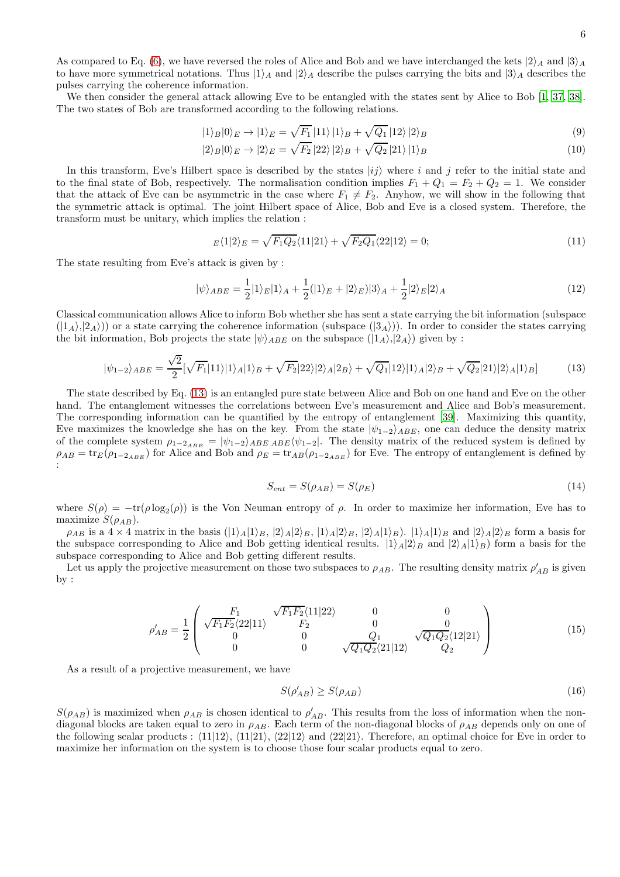6

As compared to Eq. [\(6\)](#page-4-1), we have reversed the roles of Alice and Bob and we have interchanged the kets  $|2\rangle_A$  and  $|3\rangle_A$ to have more symmetrical notations. Thus  $|1\rangle_A$  and  $|2\rangle_A$  describe the pulses carrying the bits and  $|3\rangle_A$  describes the pulses carrying the coherence information.

We then consider the general attack allowing Eve to be entangled with the states sent by Alice to Bob [\[1](#page-13-0), [37,](#page-14-17) [38\]](#page-14-18). The two states of Bob are transformed according to the following relations.

<span id="page-5-5"></span>
$$
|1\rangle_B|0\rangle_E \to |1\rangle_E = \sqrt{F_1}|11\rangle|1\rangle_B + \sqrt{Q_1}|12\rangle|2\rangle_B \tag{9}
$$

$$
|2\rangle_B|0\rangle_E \to |2\rangle_E = \sqrt{F_2}|22\rangle|2\rangle_B + \sqrt{Q_2}|21\rangle|1\rangle_B \tag{10}
$$

In this transform, Eve's Hilbert space is described by the states  $|ij\rangle$  where i and j refer to the initial state and to the final state of Bob, respectively. The normalisation condition implies  $F_1 + Q_1 = F_2 + Q_2 = 1$ . We consider that the attack of Eve can be asymmetric in the case where  $F_1 \neq F_2$ . Anyhow, we will show in the following that the symmetric attack is optimal. The joint Hilbert space of Alice, Bob and Eve is a closed system. Therefore, the transform must be unitary, which implies the relation :

<span id="page-5-1"></span>
$$
E\langle 1|2\rangle_E = \sqrt{F_1 Q_2} \langle 11|21\rangle + \sqrt{F_2 Q_1} \langle 22|12\rangle = 0; \tag{11}
$$

The state resulting from Eve's attack is given by :

<span id="page-5-4"></span>
$$
|\psi\rangle_{ABE} = \frac{1}{2}|1\rangle_E|1\rangle_A + \frac{1}{2}(|1\rangle_E + |2\rangle_E)|3\rangle_A + \frac{1}{2}|2\rangle_E|2\rangle_A
$$
\n(12)

Classical communication allows Alice to inform Bob whether she has sent a state carrying the bit information (subspace  $(|1_A\rangle,|2_A\rangle)$  or a state carrying the coherence information (subspace  $(|3_A\rangle)$ ). In order to consider the states carrying the bit information, Bob projects the state  $|\psi\rangle_{ABE}$  on the subspace  $(|1_A\rangle, |2_A\rangle)$  given by :

<span id="page-5-0"></span>
$$
|\psi_{1-2}\rangle_{ABE} = \frac{\sqrt{2}}{2} [\sqrt{F_1}|11\rangle|1\rangle_A|1\rangle_B + \sqrt{F_2}|22\rangle|2\rangle_A|2B\rangle + \sqrt{Q_1}|12\rangle|1\rangle_A|2\rangle_B + \sqrt{Q_2}|21\rangle|2\rangle_A|1\rangle_B]
$$
(13)

The state described by Eq. [\(13\)](#page-5-0) is an entangled pure state between Alice and Bob on one hand and Eve on the other hand. The entanglement witnesses the correlations between Eve's measurement and Alice and Bob's measurement. The corresponding information can be quantified by the entropy of entanglement [\[39\]](#page-14-19). Maximizing this quantity, Eve maximizes the knowledge she has on the key. From the state  $|\psi_{1-2}\rangle_{ABE}$ , one can deduce the density matrix of the complete system  $\rho_{1-2_{ABE}} = |\psi_{1-2}\rangle_{ABE \ ABE} \langle \psi_{1-2}|$ . The density matrix of the reduced system is defined by  $\rho_{AB} = \text{tr}_E(\rho_{1-2_{ABE}})$  for Alice and Bob and  $\rho_E = \text{tr}_{AB}(\rho_{1-2_{ABE}})$  for Eve. The entropy of entanglement is defined by :

<span id="page-5-2"></span>
$$
S_{ent} = S(\rho_{AB}) = S(\rho_E) \tag{14}
$$

where  $S(\rho) = -\text{tr}(\rho \log_2(\rho))$  is the Von Neuman entropy of  $\rho$ . In order to maximize her information, Eve has to maximize  $S(\rho_{AB})$ .

 $\rho_{AB}$  is a  $4 \times 4$  matrix in the basis  $(|1\rangle_A|1\rangle_B, |2\rangle_A|2\rangle_B, |1\rangle_A|2\rangle_B, |2\rangle_A|1\rangle_B)$ .  $|1\rangle_A|1\rangle_B$  and  $|2\rangle_A|2\rangle_B$  form a basis for the subspace corresponding to Alice and Bob getting identical results.  $|1\rangle_A|2\rangle_B$  and  $|2\rangle_A|1\rangle_B$ ) form a basis for the subspace corresponding to Alice and Bob getting different results.

Let us apply the projective measurement on those two subspaces to  $\rho_{AB}$ . The resulting density matrix  $\rho'_{AB}$  is given by :

<span id="page-5-3"></span>
$$
\rho'_{AB} = \frac{1}{2} \begin{pmatrix} F_1 & \sqrt{F_1 F_2} \langle 11|22\rangle & 0 & 0\\ \sqrt{F_1 F_2} \langle 22|11\rangle & F_2 & 0 & 0\\ 0 & 0 & Q_1 & \sqrt{Q_1 Q_2} \langle 12|21\rangle\\ 0 & 0 & \sqrt{Q_1 Q_2} \langle 21|12\rangle & Q_2 \end{pmatrix}
$$
(15)

As a result of a projective measurement, we have

$$
S(\rho'_{AB}) \ge S(\rho_{AB})\tag{16}
$$

 $S(\rho_{AB})$  is maximized when  $\rho_{AB}$  is chosen identical to  $\rho'_{AB}$ . This results from the loss of information when the nondiagonal blocks are taken equal to zero in  $\rho_{AB}$ . Each term of the non-diagonal blocks of  $\rho_{AB}$  depends only on one of the following scalar products :  $\langle 11|12 \rangle$ ,  $\langle 11|21 \rangle$ ,  $\langle 22|12 \rangle$  and  $\langle 22|21 \rangle$ . Therefore, an optimal choice for Eve in order to maximize her information on the system is to choose those four scalar products equal to zero.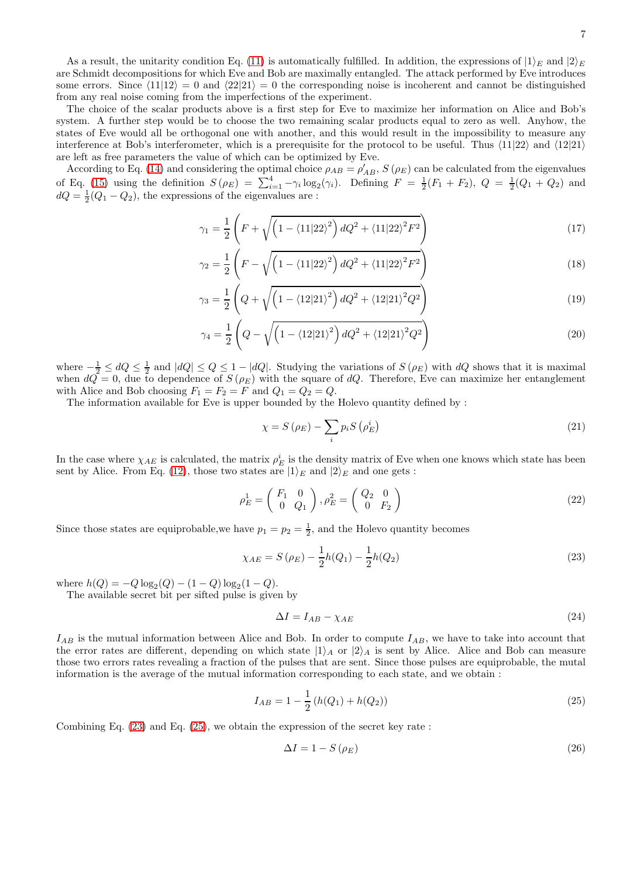As a result, the unitarity condition Eq. [\(11\)](#page-5-1) is automatically fulfilled. In addition, the expressions of  $|1\rangle_E$  and  $|2\rangle_E$ are Schmidt decompositions for which Eve and Bob are maximally entangled. The attack performed by Eve introduces some errors. Since  $\langle 11|12 \rangle = 0$  and  $\langle 22|21 \rangle = 0$  the corresponding noise is incoherent and cannot be distinguished from any real noise coming from the imperfections of the experiment.

The choice of the scalar products above is a first step for Eve to maximize her information on Alice and Bob's system. A further step would be to choose the two remaining scalar products equal to zero as well. Anyhow, the states of Eve would all be orthogonal one with another, and this would result in the impossibility to measure any interference at Bob's interferometer, which is a prerequisite for the protocol to be useful. Thus  $\langle 11|22 \rangle$  and  $\langle 12|21 \rangle$ are left as free parameters the value of which can be optimized by Eve.

According to Eq. [\(14\)](#page-5-2) and considering the optimal choice  $\rho_{AB} = \rho'_{AB}$ ,  $S(\rho_E)$  can be calculated from the eigenvalues of Eq. [\(15\)](#page-5-3) using the definition  $S(\rho_E) = \sum_{i=1}^4 -\gamma_i \log_2(\gamma_i)$ . Defining  $F = \frac{1}{2}(F_1 + F_2)$ ,  $Q = \frac{1}{2}(Q_1 + Q_2)$  and  $dQ = \frac{1}{2}(Q_1 - Q_2)$ , the expressions of the eigenvalues are :

$$
\gamma_1 = \frac{1}{2} \left( F + \sqrt{\left( 1 - \langle 11 | 22 \rangle^2 \right) dQ^2 + \langle 11 | 22 \rangle^2 F^2} \right) \tag{17}
$$

$$
\gamma_2 = \frac{1}{2} \left( F - \sqrt{\left( 1 - \langle 11 | 22 \rangle^2 \right) dQ^2 + \langle 11 | 22 \rangle^2 F^2} \right) \tag{18}
$$

$$
\gamma_3 = \frac{1}{2} \left( Q + \sqrt{\left( 1 - \langle 12 | 21 \rangle^2 \right) d Q^2 + \langle 12 | 21 \rangle^2 Q^2} \right) \tag{19}
$$

$$
\gamma_4 = \frac{1}{2} \left( Q - \sqrt{\left( 1 - \langle 12 | 21 \rangle^2 \right) dQ^2 + \langle 12 | 21 \rangle^2 Q^2} \right) \tag{20}
$$

where  $-\frac{1}{2} \leq dQ \leq \frac{1}{2}$  and  $|dQ| \leq Q \leq 1 - |dQ|$ . Studying the variations of  $S(\rho_E)$  with  $dQ$  shows that it is maximal when  $dQ = 0$ , due to dependence of  $S(\rho_E)$  with the square of  $dQ$ . Therefore, Eve can maximize her entanglement with Alice and Bob choosing  $F_1 = F_2 = F$  and  $Q_1 = Q_2 = Q$ .

The information available for Eve is upper bounded by the Holevo quantity defined by :

$$
\chi = S\left(\rho_E\right) - \sum_{i} p_i S\left(\rho_E^i\right) \tag{21}
$$

In the case where  $\chi_{AE}$  is calculated, the matrix  $\rho_E^i$  is the density matrix of Eve when one knows which state has been sent by Alice. From Eq. [\(12\)](#page-5-4), those two states are  $|1\rangle_E$  and  $|2\rangle_E$  and one gets :

$$
\rho_E^1 = \begin{pmatrix} F_1 & 0 \\ 0 & Q_1 \end{pmatrix}, \rho_E^2 = \begin{pmatrix} Q_2 & 0 \\ 0 & F_2 \end{pmatrix} \tag{22}
$$

Since those states are equiprobable, we have  $p_1 = p_2 = \frac{1}{2}$ , and the Holevo quantity becomes

<span id="page-6-0"></span>
$$
\chi_{AE} = S(\rho_E) - \frac{1}{2}h(Q_1) - \frac{1}{2}h(Q_2)
$$
\n(23)

where  $h(Q) = -Q \log_2(Q) - (1 - Q) \log_2(1 - Q)$ .

The available secret bit per sifted pulse is given by

$$
\Delta I = I_{AB} - \chi_{AE} \tag{24}
$$

 $I_{AB}$  is the mutual information between Alice and Bob. In order to compute  $I_{AB}$ , we have to take into account that the error rates are different, depending on which state  $|1\rangle_A$  or  $|2\rangle_A$  is sent by Alice. Alice and Bob can measure those two errors rates revealing a fraction of the pulses that are sent. Since those pulses are equiprobable, the mutal information is the average of the mutual information corresponding to each state, and we obtain :

<span id="page-6-1"></span>
$$
I_{AB} = 1 - \frac{1}{2} \left( h(Q_1) + h(Q_2) \right) \tag{25}
$$

Combining Eq. [\(23\)](#page-6-0) and Eq. [\(25\)](#page-6-1), we obtain the expression of the secret key rate :

$$
\Delta I = 1 - S\left(\rho_E\right) \tag{26}
$$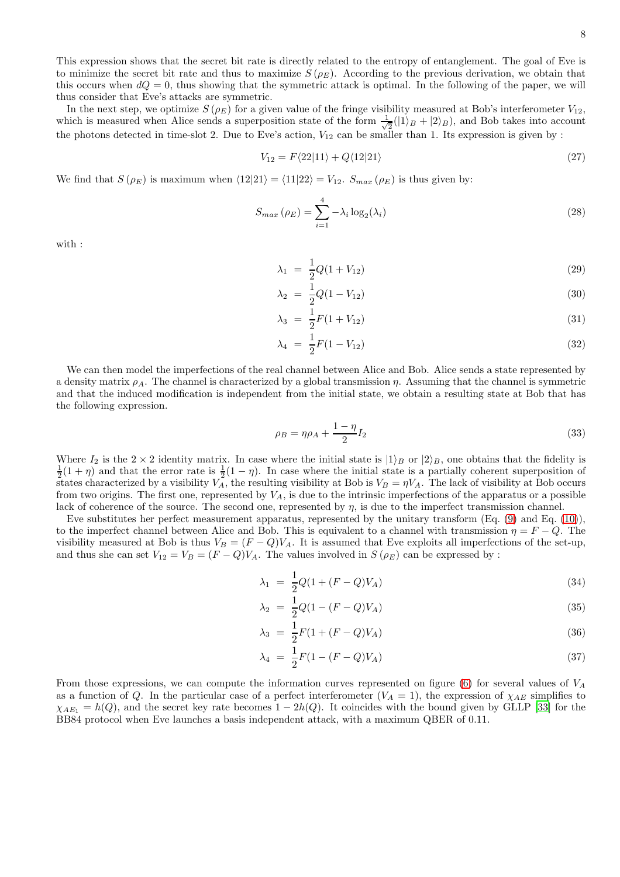This expression shows that the secret bit rate is directly related to the entropy of entanglement. The goal of Eve is to minimize the secret bit rate and thus to maximize  $S(\rho_E)$ . According to the previous derivation, we obtain that this occurs when  $dQ = 0$ , thus showing that the symmetric attack is optimal. In the following of the paper, we will thus consider that Eve's attacks are symmetric.

In the next step, we optimize  $S(\rho_E)$  for a given value of the fringe visibility measured at Bob's interferometer  $V_{12}$ , which is measured when Alice sends a superposition state of the form  $\frac{1}{\sqrt{2}}$  $\frac{1}{2}(|1\rangle_B + |2\rangle_B)$ , and Bob takes into account the photons detected in time-slot 2. Due to Eve's action,  $V_{12}$  can be smaller than 1. Its expression is given by :

$$
V_{12} = F\langle 22|11 \rangle + Q\langle 12|21 \rangle \tag{27}
$$

We find that  $S(\rho_E)$  is maximum when  $\langle 12|21\rangle = \langle 11|22\rangle = V_{12}$ .  $S_{max}(\rho_E)$  is thus given by:

$$
S_{max} \left( \rho_E \right) = \sum_{i=1}^{4} -\lambda_i \log_2(\lambda_i) \tag{28}
$$

with :

<span id="page-7-0"></span>
$$
\lambda_1 = \frac{1}{2}Q(1 + V_{12})
$$
\n(29)

$$
\lambda_2 = \frac{1}{2}Q(1 - V_{12})\tag{30}
$$

$$
\lambda_3 = \frac{1}{2}F(1 + V_{12}) \tag{31}
$$

$$
\lambda_4 = \frac{1}{2}F(1 - V_{12}) \tag{32}
$$

We can then model the imperfections of the real channel between Alice and Bob. Alice sends a state represented by a density matrix  $\rho_A$ . The channel is characterized by a global transmission  $\eta$ . Assuming that the channel is symmetric and that the induced modification is independent from the initial state, we obtain a resulting state at Bob that has the following expression.

<span id="page-7-1"></span>
$$
\rho_B = \eta \rho_A + \frac{1 - \eta}{2} I_2 \tag{33}
$$

Where  $I_2$  is the  $2 \times 2$  identity matrix. In case where the initial state is  $|1\rangle_B$  or  $|2\rangle_B$ , one obtains that the fidelity is  $\frac{1}{2}(1 + \eta)$  and that the error rate is  $\frac{1}{2}(1 - \eta)$ . In case where the initial state is a partially coherent superposition of states characterized by a visibility  $V_A$ , the resulting visibility at Bob is  $V_B = \eta V_A$ . The lack of visibility at Bob occurs from two origins. The first one, represented by  $V_A$ , is due to the intrinsic imperfections of the apparatus or a possible lack of coherence of the source. The second one, represented by  $\eta$ , is due to the imperfect transmission channel.

Eve substitutes her perfect measurement apparatus, represented by the unitary transform (Eq. [\(9\)](#page-5-5) and Eq. [\(10\)](#page-5-5)), to the imperfect channel between Alice and Bob. This is equivalent to a channel with transmission  $\eta = F - Q$ . The visibility measured at Bob is thus  $V_B = (F - Q)V_A$ . It is assumed that Eve exploits all imperfections of the set-up, and thus she can set  $V_{12} = V_B = (F - Q)V_A$ . The values involved in  $S(\rho_E)$  can be expressed by :

<span id="page-7-2"></span>
$$
\lambda_1 = \frac{1}{2}Q(1 + (F - Q)V_A) \tag{34}
$$

$$
\lambda_2 = \frac{1}{2}Q(1 - (F - Q)V_A) \tag{35}
$$

$$
\lambda_3 = \frac{1}{2}F(1 + (F - Q)V_A) \tag{36}
$$

$$
\lambda_4 = \frac{1}{2}F(1 - (F - Q)V_A) \tag{37}
$$

From those expressions, we can compute the information curves represented on figure [\(6\)](#page-8-0) for several values of  $V_A$ as a function of Q. In the particular case of a perfect interferometer  $(V_A = 1)$ , the expression of  $\chi_{AE}$  simplifies to  $\chi_{AE_1} = h(Q)$ , and the secret key rate becomes  $1 - 2h(Q)$ . It coincides with the bound given by GLLP [\[33](#page-14-13)] for the BB84 protocol when Eve launches a basis independent attack, with a maximum QBER of 0.11.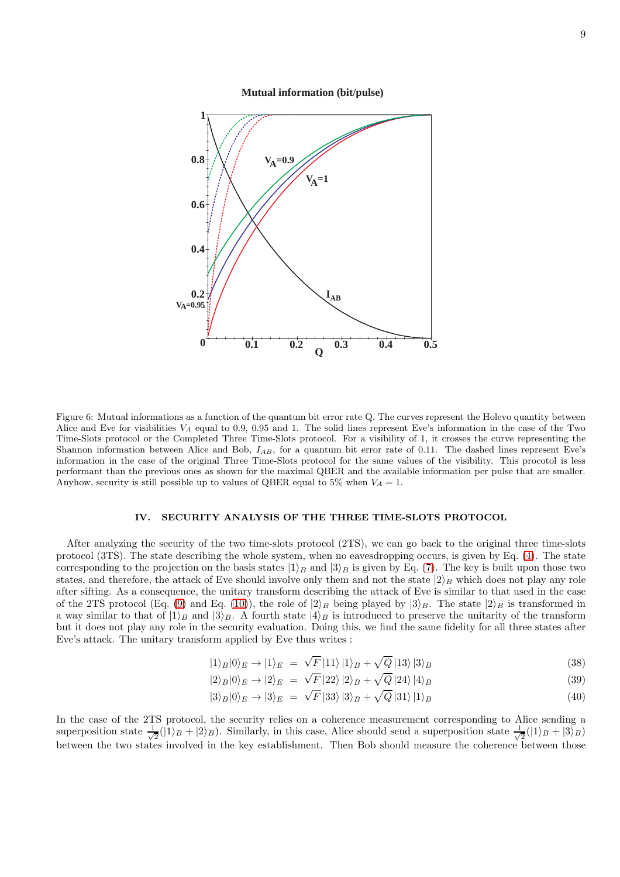**Mutual information (bit/pulse)**



<span id="page-8-0"></span>Figure 6: Mutual informations as a function of the quantum bit error rate Q. The curves represent the Holevo quantity between Alice and Eve for visibilities  $V_A$  equal to 0.9, 0.95 and 1. The solid lines represent Eve's information in the case of the Two Time-Slots protocol or the Completed Three Time-Slots protocol. For a visibility of 1, it crosses the curve representing the Shannon information between Alice and Bob,  $I_{AB}$ , for a quantum bit error rate of 0.11. The dashed lines represent Eve's information in the case of the original Three Time-Slots protocol for the same values of the visibility. This procotol is less performant than the previous ones as shown for the maximal QBER and the available information per pulse that are smaller. Anyhow, security is still possible up to values of QBER equal to 5% when  $V_A = 1$ .

## IV. SECURITY ANALYSIS OF THE THREE TIME-SLOTS PROTOCOL

After analyzing the security of the two time-slots protocol (2TS), we can go back to the original three time-slots protocol (3TS). The state describing the whole system, when no eavesdropping occurs, is given by Eq. [\(4\)](#page-3-1). The state corresponding to the projection on the basis states  $|1\rangle_B$  and  $|3\rangle_B$  is given by Eq. [\(7\)](#page-4-2). The key is built upon those two states, and therefore, the attack of Eve should involve only them and not the state  $|2\rangle_B$  which does not play any role after sifting. As a consequence, the unitary transform describing the attack of Eve is similar to that used in the case of the 2TS protocol (Eq. [\(9\)](#page-5-5) and Eq. [\(10\)](#page-5-5)), the role of  $|2\rangle_B$  being played by  $|3\rangle_B$ . The state  $|2\rangle_B$  is transformed in a way similar to that of  $|1\rangle_B$  and  $|3\rangle_B$ . A fourth state  $|4\rangle_B$  is introduced to preserve the unitarity of the transform but it does not play any role in the security evaluation. Doing this, we find the same fidelity for all three states after Eve's attack. The unitary transform applied by Eve thus writes :

<span id="page-8-1"></span>
$$
|1\rangle_B|0\rangle_E \to |1\rangle_E = \sqrt{F}|11\rangle|1\rangle_B + \sqrt{Q}|13\rangle|3\rangle_B \tag{38}
$$

$$
|2\rangle_B|0\rangle_E \to |2\rangle_E = \sqrt{F}|22\rangle|2\rangle_B + \sqrt{Q}|24\rangle|4\rangle_B \tag{39}
$$

$$
|3\rangle_B|0\rangle_E \to |3\rangle_E = \sqrt{F}|33\rangle|3\rangle_B + \sqrt{Q}|31\rangle|1\rangle_B \tag{40}
$$

In the case of the 2TS protocol, the security relies on a coherence measurement corresponding to Alice sending a superposition state  $\frac{1}{\sqrt{2}}$  $\frac{1}{2}(\hat{1}_B + \hat{2}_B)$ . Similarly, in this case, Alice should send a superposition state  $\frac{1}{\sqrt{2}}$  $\frac{1}{2}(|1\rangle_B + |3\rangle_B)$ between the two states involved in the key establishment. Then Bob should measure the coherence between those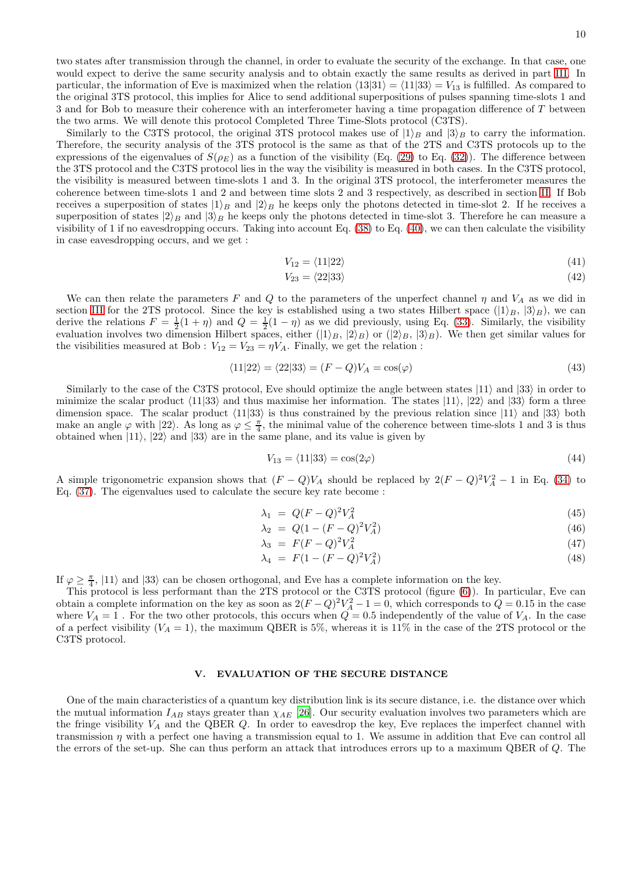two states after transmission through the channel, in order to evaluate the security of the exchange. In that case, one would expect to derive the same security analysis and to obtain exactly the same results as derived in part [III.](#page-4-3) In particular, the information of Eve is maximized when the relation  $\langle 13|31 \rangle = \langle 11|33 \rangle = V_{13}$  is fulfilled. As compared to the original 3TS protocol, this implies for Alice to send additional superpositions of pulses spanning time-slots 1 and 3 and for Bob to measure their coherence with an interferometer having a time propagation difference of T between the two arms. We will denote this protocol Completed Three Time-Slots protocol (C3TS).

Similarly to the C3TS protocol, the original 3TS protocol makes use of  $|1\rangle_B$  and  $|3\rangle_B$  to carry the information. Therefore, the security analysis of the 3TS protocol is the same as that of the 2TS and C3TS protocols up to the expressions of the eigenvalues of  $S(\rho_E)$  as a function of the visibility (Eq. [\(29\)](#page-7-0) to Eq. [\(32\)](#page-7-0)). The difference between the 3TS protocol and the C3TS protocol lies in the way the visibility is measured in both cases. In the C3TS protocol, the visibility is measured between time-slots 1 and 3. In the original 3TS protocol, the interferometer measures the coherence between time-slots 1 and 2 and between time slots 2 and 3 respectively, as described in section [II.](#page-3-2) If Bob receives a superposition of states  $|1\rangle_B$  and  $|2\rangle_B$  he keeps only the photons detected in time-slot 2. If he receives a superposition of states  $|2\rangle_B$  and  $|3\rangle_B$  he keeps only the photons detected in time-slot 3. Therefore he can measure a visibility of 1 if no eavesdropping occurs. Taking into account Eq. [\(38\)](#page-8-1) to Eq. [\(40\)](#page-8-1), we can then calculate the visibility in case eavesdropping occurs, and we get :

$$
V_{12} = \langle 11|22\rangle \tag{41}
$$

$$
V_{23} = \langle 22|33 \rangle \tag{42}
$$

We can then relate the parameters F and Q to the parameters of the unperfect channel  $\eta$  and  $V_A$  as we did in section [III](#page-4-3) for the 2TS protocol. Since the key is established using a two states Hilbert space  $(|1\rangle_B, |3\rangle_B)$ , we can derive the relations  $F = \frac{1}{2}(1 + \eta)$  and  $Q = \frac{1}{2}(1 - \eta)$  as we did previously, using Eq. [\(33\)](#page-7-1). Similarly, the visibility evaluation involves two dimension Hilbert spaces, either  $(|1\rangle_B, |2\rangle_B)$  or  $(|2\rangle_B, |3\rangle_B)$ . We then get similar values for the visibilities measured at Bob :  $V_{12} = V_{23} = \eta V_A$ . Finally, we get the relation :

$$
\langle 11|22 \rangle = \langle 22|33 \rangle = (F - Q)V_A = \cos(\varphi) \tag{43}
$$

Similarly to the case of the C3TS protocol, Eve should optimize the angle between states  $|11\rangle$  and  $|33\rangle$  in order to minimize the scalar product  $\langle 11|33 \rangle$  and thus maximise her information. The states  $|11\rangle$ ,  $|22\rangle$  and  $|33\rangle$  form a three dimension space. The scalar product  $\langle 11|33 \rangle$  is thus constrained by the previous relation since  $|11\rangle$  and  $|33\rangle$  both make an angle  $\varphi$  with  $|22\rangle$ . As long as  $\varphi \leq \frac{\pi}{4}$ , the minimal value of the coherence between time-slots 1 and 3 is thus obtained when  $|11\rangle$ ,  $|22\rangle$  and  $|33\rangle$  are in the same plane, and its value is given by

$$
V_{13} = \langle 11|33 \rangle = \cos(2\varphi) \tag{44}
$$

A simple trigonometric expansion shows that  $(F - Q)V_A$  should be replaced by  $2(F - Q)^2V_A^2 - 1$  in Eq. [\(34\)](#page-7-2) to Eq. [\(37\)](#page-7-2). The eigenvalues used to calculate the secure key rate become :

$$
\lambda_1 = Q(F - Q)^2 V_A^2 \tag{45}
$$

$$
\lambda_2 = Q(1 - (F - Q)^2 V_A^2) \tag{46}
$$

$$
\lambda_3 = F(F-Q)^2 V_A^2 \tag{47}
$$

$$
\lambda_4 = F(1 - (F - Q)^2 V_A^2) \tag{48}
$$

If  $\varphi \geq \frac{\pi}{4}$ ,  $|11\rangle$  and  $|33\rangle$  can be chosen orthogonal, and Eve has a complete information on the key.

This protocol is less performant than the 2TS protocol or the C3TS protocol (figure [\(6\)](#page-8-0)). In particular, Eve can obtain a complete information on the key as soon as  $2(F-Q)^2V_A^2-1=0$ , which corresponds to  $Q=0.15$  in the case where  $V_A = 1$ . For the two other protocols, this occurs when  $Q = 0.5$  independently of the value of  $V_A$ . In the case of a perfect visibility  $(V_A = 1)$ , the maximum QBER is 5%, whereas it is 11% in the case of the 2TS protocol or the C3TS protocol.

### V. EVALUATION OF THE SECURE DISTANCE

One of the main characteristics of a quantum key distribution link is its secure distance, i.e. the distance over which the mutual information  $I_{AB}$  stays greater than  $\chi_{AE}$  [\[26\]](#page-14-6). Our security evaluation involves two parameters which are the fringe visibility  $V_A$  and the QBER  $Q$ . In order to eavesdrop the key, Eve replaces the imperfect channel with transmission  $\eta$  with a perfect one having a transmission equal to 1. We assume in addition that Eve can control all the errors of the set-up. She can thus perform an attack that introduces errors up to a maximum QBER of Q. The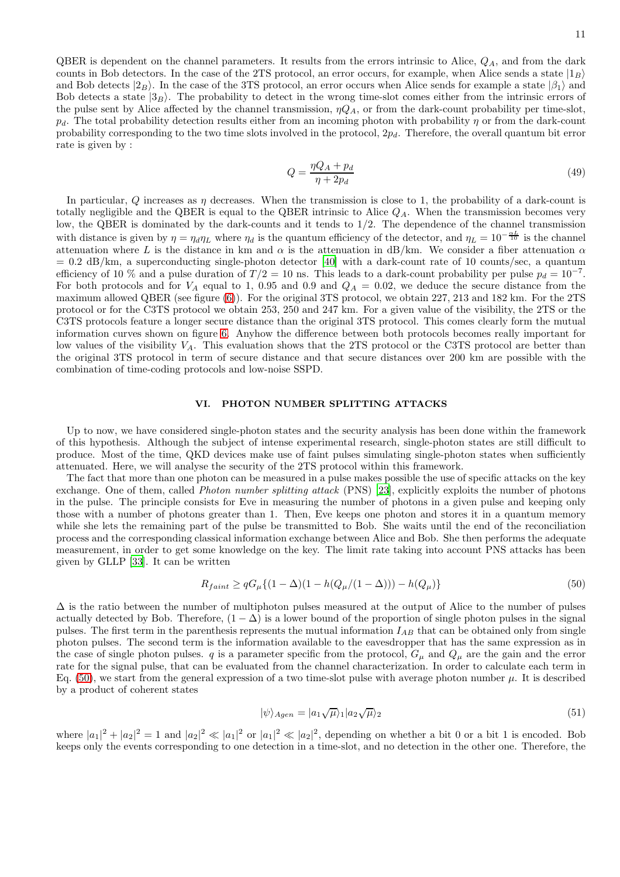QBER is dependent on the channel parameters. It results from the errors intrinsic to Alice,  $Q_A$ , and from the dark counts in Bob detectors. In the case of the 2TS protocol, an error occurs, for example, when Alice sends a state  $|1_B\rangle$ and Bob detects  $|2_B\rangle$ . In the case of the 3TS protocol, an error occurs when Alice sends for example a state  $|\beta_1\rangle$  and Bob detects a state  $|3_B\rangle$ . The probability to detect in the wrong time-slot comes either from the intrinsic errors of the pulse sent by Alice affected by the channel transmission,  $\eta Q_A$ , or from the dark-count probability per time-slot,  $p_d$ . The total probability detection results either from an incoming photon with probability  $\eta$  or from the dark-count probability corresponding to the two time slots involved in the protocol,  $2p_d$ . Therefore, the overall quantum bit error rate is given by :

<span id="page-10-2"></span>
$$
Q = \frac{\eta Q_A + p_d}{\eta + 2p_d} \tag{49}
$$

In particular,  $Q$  increases as  $\eta$  decreases. When the transmission is close to 1, the probability of a dark-count is totally negligible and the QBER is equal to the QBER intrinsic to Alice  $Q_A$ . When the transmission becomes very low, the QBER is dominated by the dark-counts and it tends to  $1/2$ . The dependence of the channel transmission with distance is given by  $\eta = \eta_d \eta_L$  where  $\eta_d$  is the quantum efficiency of the detector, and  $\eta_L = 10^{-\frac{\alpha L}{10}}$  is the channel attenuation where L is the distance in km and  $\alpha$  is the attenuation in dB/km. We consider a fiber attenuation  $\alpha$  $= 0.2$  dB/km, a superconducting single-photon detector [\[40](#page-14-20)] with a dark-count rate of 10 counts/sec, a quantum efficiency of 10 % and a pulse duration of  $T/2 = 10$  ns. This leads to a dark-count probability per pulse  $p_d = 10^{-7}$ . For both protocols and for  $V_A$  equal to 1, 0.95 and 0.9 and  $Q_A = 0.02$ , we deduce the secure distance from the maximum allowed QBER (see figure [\(6\)](#page-8-0)). For the original 3TS protocol, we obtain 227, 213 and 182 km. For the 2TS protocol or for the C3TS protocol we obtain 253, 250 and 247 km. For a given value of the visibility, the 2TS or the C3TS protocols feature a longer secure distance than the original 3TS protocol. This comes clearly form the mutual information curves shown on figure [6.](#page-8-0) Anyhow the difference between both protocols becomes really important for low values of the visibility  $V_A$ . This evaluation shows that the 2TS protocol or the C3TS protocol are better than the original 3TS protocol in term of secure distance and that secure distances over 200 km are possible with the combination of time-coding protocols and low-noise SSPD.

### VI. PHOTON NUMBER SPLITTING ATTACKS

Up to now, we have considered single-photon states and the security analysis has been done within the framework of this hypothesis. Although the subject of intense experimental research, single-photon states are still difficult to produce. Most of the time, QKD devices make use of faint pulses simulating single-photon states when sufficiently attenuated. Here, we will analyse the security of the 2TS protocol within this framework.

The fact that more than one photon can be measured in a pulse makes possible the use of specific attacks on the key exchange. One of them, called *Photon number splitting attack* (PNS) [\[23](#page-14-3)], explicitly exploits the number of photons in the pulse. The principle consists for Eve in measuring the number of photons in a given pulse and keeping only those with a number of photons greater than 1. Then, Eve keeps one photon and stores it in a quantum memory while she lets the remaining part of the pulse be transmitted to Bob. She waits until the end of the reconciliation process and the corresponding classical information exchange between Alice and Bob. She then performs the adequate measurement, in order to get some knowledge on the key. The limit rate taking into account PNS attacks has been given by GLLP [\[33\]](#page-14-13). It can be written

<span id="page-10-0"></span>
$$
R_{faint} \ge q G_{\mu} \{ (1 - \Delta)(1 - h(Q_{\mu}/(1 - \Delta))) - h(Q_{\mu}) \}
$$
\n(50)

 $\Delta$  is the ratio between the number of multiphoton pulses measured at the output of Alice to the number of pulses actually detected by Bob. Therefore,  $(1 - \Delta)$  is a lower bound of the proportion of single photon pulses in the signal pulses. The first term in the parenthesis represents the mutual information  $I_{AB}$  that can be obtained only from single photon pulses. The second term is the information available to the eavesdropper that has the same expression as in the case of single photon pulses. q is a parameter specific from the protocol,  $G_\mu$  and  $Q_\mu$  are the gain and the error rate for the signal pulse, that can be evaluated from the channel characterization. In order to calculate each term in Eq.  $(50)$ , we start from the general expression of a two time-slot pulse with average photon number  $\mu$ . It is described by a product of coherent states

<span id="page-10-1"></span>
$$
|\psi\rangle_{Agen} = |a_1\sqrt{\mu}\rangle_1|a_2\sqrt{\mu}\rangle_2\tag{51}
$$

where  $|a_1|^2 + |a_2|^2 = 1$  and  $|a_2|^2 \ll |a_1|^2 \ll |a_2|^2$ , depending on whether a bit 0 or a bit 1 is encoded. Bob keeps only the events corresponding to one detection in a time-slot, and no detection in the other one. Therefore, the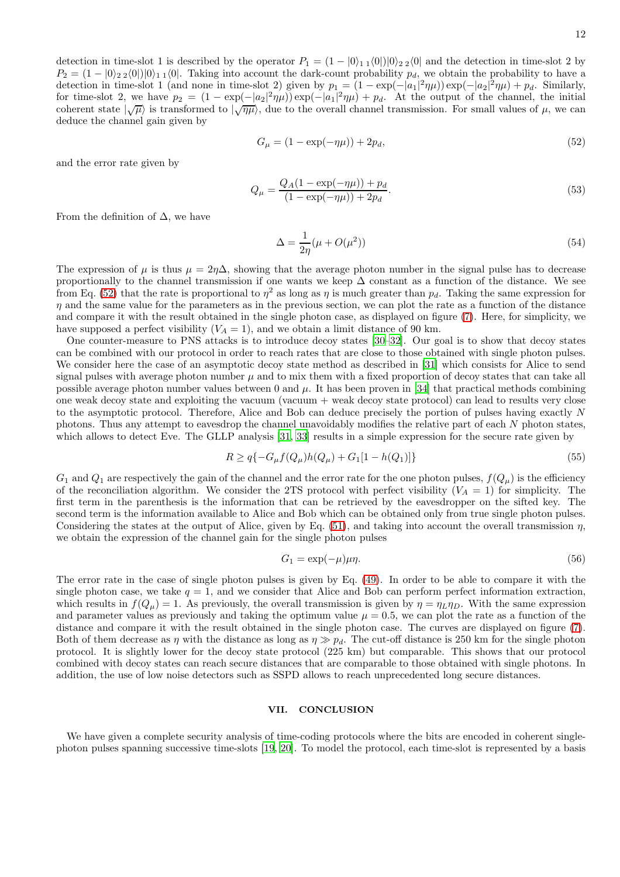detection in time-slot 1 is described by the operator  $P_1 = (1 - |0\rangle_{11}\langle 0|)|0\rangle_{22}\langle 0|$  and the detection in time-slot 2 by  $P_2 = (1 - |0\rangle_2 |0\rangle_0|_1 |0\rangle_1 |1\rangle_1$  Taking into account the dark-count probability  $p_d$ , we obtain the probability to have a detection in time-slot 1 (and none in time-slot 2) given by  $p_1 = (1 - \exp(-|a_1|^2 \eta \mu)) \exp(-|a_2|^2 \eta \mu) + p_d$ . Similarly, for time-slot 2, we have  $p_2 = (1 - \exp(-|a_2|^2 \eta \mu)) \exp(-|a_1|^2 \eta \mu) + p_d$ . At the output of the channel, the initial coherent state  $|\sqrt{\mu}\rangle$  is transformed to  $|\sqrt{\eta\mu}\rangle$ , due to the overall channel transmission. For small values of  $\mu$ , we can deduce the channel gain given by

<span id="page-11-0"></span>
$$
G_{\mu} = (1 - \exp(-\eta \mu)) + 2p_d, \tag{52}
$$

and the error rate given by

$$
Q_{\mu} = \frac{Q_A (1 - \exp(-\eta \mu)) + p_d}{(1 - \exp(-\eta \mu)) + 2p_d}.
$$
\n(53)

From the definition of  $\Delta$ , we have

$$
\Delta = \frac{1}{2\eta}(\mu + O(\mu^2))\tag{54}
$$

The expression of  $\mu$  is thus  $\mu = 2\eta\Delta$ , showing that the average photon number in the signal pulse has to decrease proportionally to the channel transmission if one wants we keep ∆ constant as a function of the distance. We see from Eq. [\(52\)](#page-11-0) that the rate is proportional to  $\eta^2$  as long as  $\eta$  is much greater than  $p_d$ . Taking the same expression for  $\eta$  and the same value for the parameters as in the previous section, we can plot the rate as a function of the distance and compare it with the result obtained in the single photon case, as displayed on figure [\(7\)](#page-12-0). Here, for simplicity, we have supposed a perfect visibility  $(V_A = 1)$ , and we obtain a limit distance of 90 km.

One counter-measure to PNS attacks is to introduce decoy states [\[30–](#page-14-10)[32\]](#page-14-11). Our goal is to show that decoy states can be combined with our protocol in order to reach rates that are close to those obtained with single photon pulses. We consider here the case of an asymptotic decoy state method as described in [\[31\]](#page-14-12) which consists for Alice to send signal pulses with average photon number  $\mu$  and to mix them with a fixed proportion of decoy states that can take all possible average photon number values between 0 and  $\mu$ . It has been proven in [\[34](#page-14-14)] that practical methods combining one weak decoy state and exploiting the vacuum (vacuum + weak decoy state protocol) can lead to results very close to the asymptotic protocol. Therefore, Alice and Bob can deduce precisely the portion of pulses having exactly N photons. Thus any attempt to eavesdrop the channel unavoidably modifies the relative part of each N photon states, which allows to detect Eve. The GLLP analysis [\[31,](#page-14-12) [33\]](#page-14-13) results in a simple expression for the secure rate given by

$$
R \ge q\{-G_{\mu}f(Q_{\mu})h(Q_{\mu}) + G_1[1 - h(Q_1)]\}
$$
\n(55)

 $G_1$  and  $Q_1$  are respectively the gain of the channel and the error rate for the one photon pulses,  $f(Q_\mu)$  is the efficiency of the reconciliation algorithm. We consider the 2TS protocol with perfect visibility ( $V_A = 1$ ) for simplicity. The first term in the parenthesis is the information that can be retrieved by the eavesdropper on the sifted key. The second term is the information available to Alice and Bob which can be obtained only from true single photon pulses. Considering the states at the output of Alice, given by Eq.  $(51)$ , and taking into account the overall transmission  $\eta$ , we obtain the expression of the channel gain for the single photon pulses

$$
G_1 = \exp(-\mu)\mu\eta. \tag{56}
$$

The error rate in the case of single photon pulses is given by Eq. [\(49\)](#page-10-2). In order to be able to compare it with the single photon case, we take  $q = 1$ , and we consider that Alice and Bob can perform perfect information extraction, which results in  $f(Q_\mu) = 1$ . As previously, the overall transmission is given by  $\eta = \eta_L \eta_D$ . With the same expression and parameter values as previously and taking the optimum value  $\mu = 0.5$ , we can plot the rate as a function of the distance and compare it with the result obtained in the single photon case. The curves are displayed on figure [\(7\)](#page-12-0). Both of them decrease as  $\eta$  with the distance as long as  $\eta \gg p_d$ . The cut-off distance is 250 km for the single photon protocol. It is slightly lower for the decoy state protocol (225 km) but comparable. This shows that our protocol combined with decoy states can reach secure distances that are comparable to those obtained with single photons. In addition, the use of low noise detectors such as SSPD allows to reach unprecedented long secure distances.

#### VII. CONCLUSION

We have given a complete security analysis of time-coding protocols where the bits are encoded in coherent singlephoton pulses spanning successive time-slots [\[19](#page-13-11), [20](#page-14-0)]. To model the protocol, each time-slot is represented by a basis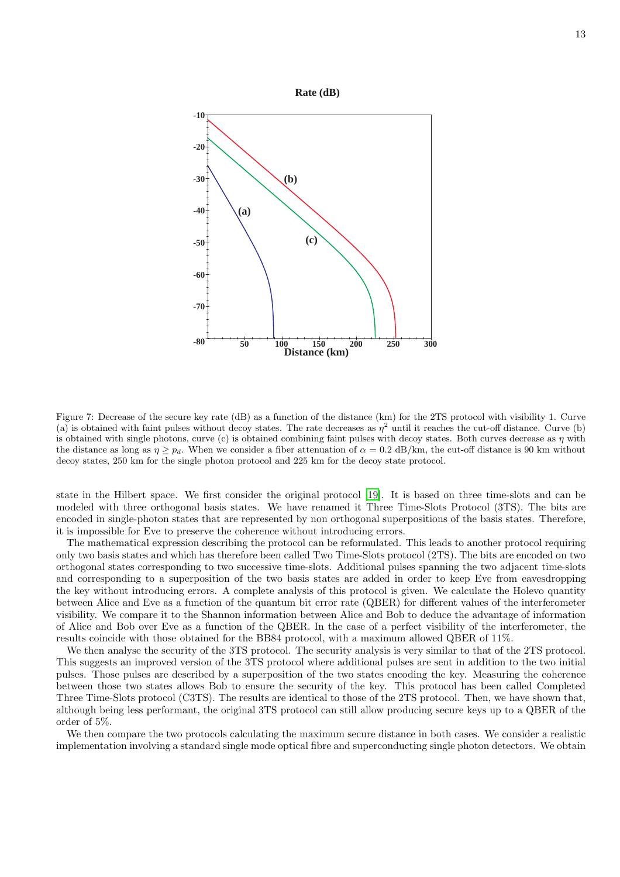

<span id="page-12-0"></span>Figure 7: Decrease of the secure key rate (dB) as a function of the distance (km) for the 2TS protocol with visibility 1. Curve (a) is obtained with faint pulses without decoy states. The rate decreases as  $\eta^2$  until it reaches the cut-off distance. Curve (b) is obtained with single photons, curve (c) is obtained combining faint pulses with decoy states. Both curves decrease as  $\eta$  with the distance as long as  $\eta \geq p_d$ . When we consider a fiber attenuation of  $\alpha = 0.2$  dB/km, the cut-off distance is 90 km without decoy states, 250 km for the single photon protocol and 225 km for the decoy state protocol.

state in the Hilbert space. We first consider the original protocol [\[19\]](#page-13-11). It is based on three time-slots and can be modeled with three orthogonal basis states. We have renamed it Three Time-Slots Protocol (3TS). The bits are encoded in single-photon states that are represented by non orthogonal superpositions of the basis states. Therefore, it is impossible for Eve to preserve the coherence without introducing errors.

The mathematical expression describing the protocol can be reformulated. This leads to another protocol requiring only two basis states and which has therefore been called Two Time-Slots protocol (2TS). The bits are encoded on two orthogonal states corresponding to two successive time-slots. Additional pulses spanning the two adjacent time-slots and corresponding to a superposition of the two basis states are added in order to keep Eve from eavesdropping the key without introducing errors. A complete analysis of this protocol is given. We calculate the Holevo quantity between Alice and Eve as a function of the quantum bit error rate (QBER) for different values of the interferometer visibility. We compare it to the Shannon information between Alice and Bob to deduce the advantage of information of Alice and Bob over Eve as a function of the QBER. In the case of a perfect visibility of the interferometer, the results coincide with those obtained for the BB84 protocol, with a maximum allowed QBER of 11%.

We then analyse the security of the 3TS protocol. The security analysis is very similar to that of the 2TS protocol. This suggests an improved version of the 3TS protocol where additional pulses are sent in addition to the two initial pulses. Those pulses are described by a superposition of the two states encoding the key. Measuring the coherence between those two states allows Bob to ensure the security of the key. This protocol has been called Completed Three Time-Slots protocol (C3TS). The results are identical to those of the 2TS protocol. Then, we have shown that, although being less performant, the original 3TS protocol can still allow producing secure keys up to a QBER of the order of 5%.

We then compare the two protocols calculating the maximum secure distance in both cases. We consider a realistic implementation involving a standard single mode optical fibre and superconducting single photon detectors. We obtain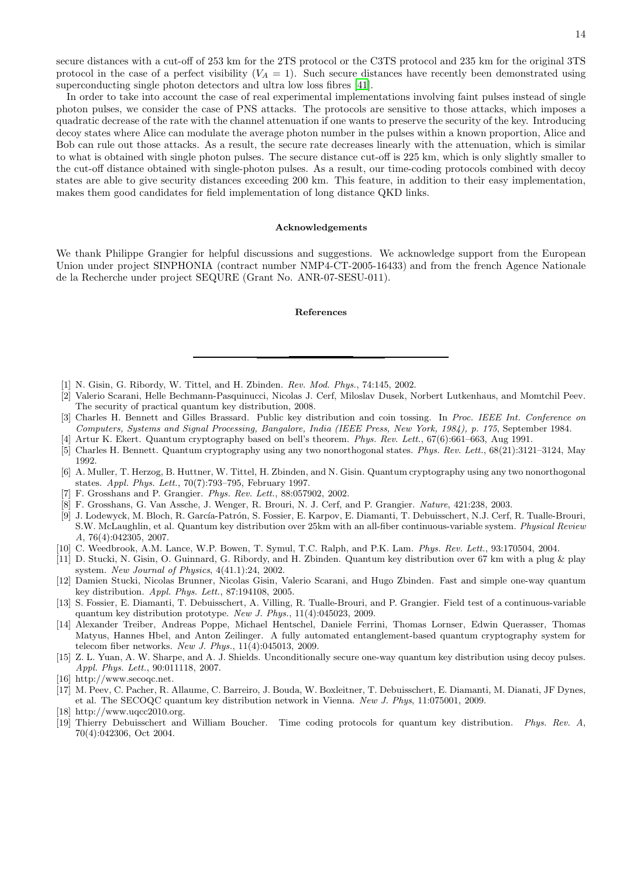14

secure distances with a cut-off of 253 km for the 2TS protocol or the C3TS protocol and 235 km for the original 3TS protocol in the case of a perfect visibility  $(V_A = 1)$ . Such secure distances have recently been demonstrated using superconducting single photon detectors and ultra low loss fibres [\[41\]](#page-14-21).

In order to take into account the case of real experimental implementations involving faint pulses instead of single photon pulses, we consider the case of PNS attacks. The protocols are sensitive to those attacks, which imposes a quadratic decrease of the rate with the channel attenuation if one wants to preserve the security of the key. Introducing decoy states where Alice can modulate the average photon number in the pulses within a known proportion, Alice and Bob can rule out those attacks. As a result, the secure rate decreases linearly with the attenuation, which is similar to what is obtained with single photon pulses. The secure distance cut-off is 225 km, which is only slightly smaller to the cut-off distance obtained with single-photon pulses. As a result, our time-coding protocols combined with decoy states are able to give security distances exceeding 200 km. This feature, in addition to their easy implementation, makes them good candidates for field implementation of long distance QKD links.

#### Acknowledgements

We thank Philippe Grangier for helpful discussions and suggestions. We acknowledge support from the European Union under project SINPHONIA (contract number NMP4-CT-2005-16433) and from the french Agence Nationale de la Recherche under project SEQURE (Grant No. ANR-07-SESU-011).

#### References

- <span id="page-13-0"></span>[1] N. Gisin, G. Ribordy, W. Tittel, and H. Zbinden. *Rev. Mod. Phys.*, 74:145, 2002.
- <span id="page-13-1"></span>[2] Valerio Scarani, Helle Bechmann-Pasquinucci, Nicolas J. Cerf, Miloslav Dusek, Norbert Lutkenhaus, and Momtchil Peev. The security of practical quantum key distribution, 2008.
- <span id="page-13-2"></span>[3] Charles H. Bennett and Gilles Brassard. Public key distribution and coin tossing. In *Proc. IEEE Int. Conference on Computers, Systems and Signal Processing, Bangalore, India (IEEE Press, New York, 1984), p. 175*, September 1984.
- [4] Artur K. Ekert. Quantum cryptography based on bell's theorem. *Phys. Rev. Lett.*, 67(6):661–663, Aug 1991.
- [5] Charles H. Bennett. Quantum cryptography using any two nonorthogonal states. *Phys. Rev. Lett.*, 68(21):3121–3124, May 1992.
- <span id="page-13-3"></span>[6] A. Muller, T. Herzog, B. Huttner, W. Tittel, H. Zbinden, and N. Gisin. Quantum cryptography using any two nonorthogonal states. *Appl. Phys. Lett.*, 70(7):793–795, February 1997.
- <span id="page-13-4"></span>[7] F. Grosshans and P. Grangier. *Phys. Rev. Lett.*, 88:057902, 2002.
- [8] F. Grosshans, G. Van Assche, J. Wenger, R. Brouri, N. J. Cerf, and P. Grangier. *Nature*, 421:238, 2003.
- [9] J. Lodewyck, M. Bloch, R. García-Patrón, S. Fossier, E. Karpov, E. Diamanti, T. Debuisschert, N.J. Cerf, R. Tualle-Brouri, S.W. McLaughlin, et al. Quantum key distribution over 25km with an all-fiber continuous-variable system. *Physical Review A*, 76(4):042305, 2007.
- <span id="page-13-5"></span>[10] C. Weedbrook, A.M. Lance, W.P. Bowen, T. Symul, T.C. Ralph, and P.K. Lam. *Phys. Rev. Lett.*, 93:170504, 2004.
- <span id="page-13-6"></span>[11] D. Stucki, N. Gisin, O. Guinnard, G. Ribordy, and H. Zbinden. Quantum key distribution over 67 km with a plug & play system. *New Journal of Physics*, 4(41.1):24, 2002.
- <span id="page-13-12"></span>[12] Damien Stucki, Nicolas Brunner, Nicolas Gisin, Valerio Scarani, and Hugo Zbinden. Fast and simple one-way quantum key distribution. *Appl. Phys. Lett.*, 87:194108, 2005.
- [13] S. Fossier, E. Diamanti, T. Debuisschert, A. Villing, R. Tualle-Brouri, and P. Grangier. Field test of a continuous-variable quantum key distribution prototype. *New J. Phys.*, 11(4):045023, 2009.
- [14] Alexander Treiber, Andreas Poppe, Michael Hentschel, Daniele Ferrini, Thomas Lornser, Edwin Querasser, Thomas Matyus, Hannes Hbel, and Anton Zeilinger. A fully automated entanglement-based quantum cryptography system for telecom fiber networks. *New J. Phys.*, 11(4):045013, 2009.
- <span id="page-13-7"></span>[15] Z. L. Yuan, A. W. Sharpe, and A. J. Shields. Unconditionally secure one-way quantum key distribution using decoy pulses. *Appl. Phys. Lett.*, 90:011118, 2007.
- <span id="page-13-8"></span>[16] http://www.secoqc.net.
- <span id="page-13-9"></span>[17] M. Peev, C. Pacher, R. Allaume, C. Barreiro, J. Bouda, W. Boxleitner, T. Debuisschert, E. Diamanti, M. Dianati, JF Dynes, et al. The SECOQC quantum key distribution network in Vienna. *New J. Phys*, 11:075001, 2009.
- <span id="page-13-10"></span>[18] http://www.uqcc2010.org.
- <span id="page-13-11"></span>[19] Thierry Debuisschert and William Boucher. Time coding protocols for quantum key distribution. *Phys. Rev. A*, 70(4):042306, Oct 2004.